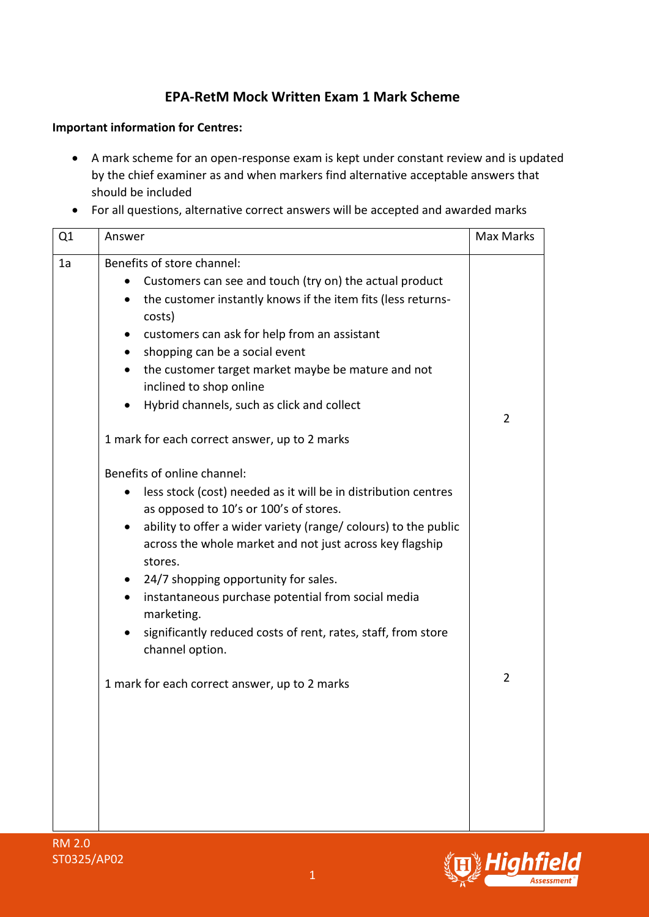## **EPA-RetM Mock Written Exam 1 Mark Scheme**

## **Important information for Centres:**

- A mark scheme for an open-response exam is kept under constant review and is updated by the chief examiner as and when markers find alternative acceptable answers that should be included
- For all questions, alternative correct answers will be accepted and awarded marks

| Q1 | Answer                                                                                                                                                                                                                                                                                                                                                                                                                                                                                                                                                                    | <b>Max Marks</b> |
|----|---------------------------------------------------------------------------------------------------------------------------------------------------------------------------------------------------------------------------------------------------------------------------------------------------------------------------------------------------------------------------------------------------------------------------------------------------------------------------------------------------------------------------------------------------------------------------|------------------|
| 1a | Benefits of store channel:<br>Customers can see and touch (try on) the actual product<br>the customer instantly knows if the item fits (less returns-<br>costs)<br>customers can ask for help from an assistant<br>$\bullet$<br>shopping can be a social event<br>$\bullet$<br>the customer target market maybe be mature and not<br>$\bullet$<br>inclined to shop online<br>Hybrid channels, such as click and collect                                                                                                                                                   | $\overline{2}$   |
|    | 1 mark for each correct answer, up to 2 marks<br>Benefits of online channel:<br>less stock (cost) needed as it will be in distribution centres<br>as opposed to 10's or 100's of stores.<br>ability to offer a wider variety (range/ colours) to the public<br>$\bullet$<br>across the whole market and not just across key flagship<br>stores.<br>24/7 shopping opportunity for sales.<br>$\bullet$<br>instantaneous purchase potential from social media<br>$\bullet$<br>marketing.<br>significantly reduced costs of rent, rates, staff, from store<br>channel option. |                  |
|    | 1 mark for each correct answer, up to 2 marks                                                                                                                                                                                                                                                                                                                                                                                                                                                                                                                             | $\overline{2}$   |

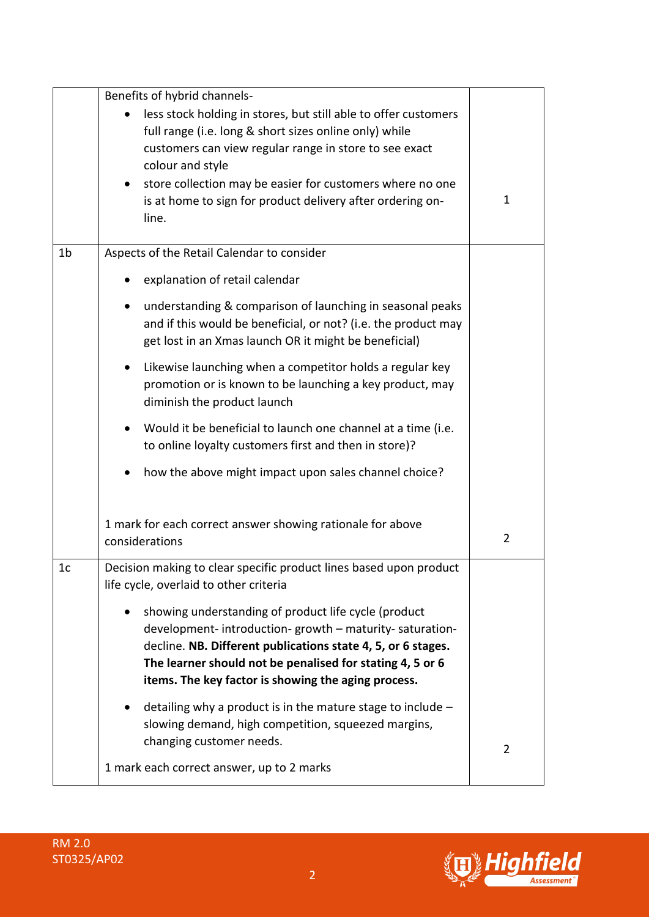|                | Benefits of hybrid channels-                                                                                                                                                                                                                                                                       |                |
|----------------|----------------------------------------------------------------------------------------------------------------------------------------------------------------------------------------------------------------------------------------------------------------------------------------------------|----------------|
|                | less stock holding in stores, but still able to offer customers                                                                                                                                                                                                                                    |                |
|                | full range (i.e. long & short sizes online only) while<br>customers can view regular range in store to see exact                                                                                                                                                                                   |                |
|                | colour and style                                                                                                                                                                                                                                                                                   |                |
|                | store collection may be easier for customers where no one<br>$\bullet$                                                                                                                                                                                                                             |                |
|                | is at home to sign for product delivery after ordering on-<br>line.                                                                                                                                                                                                                                | $\mathbf 1$    |
| 1b             | Aspects of the Retail Calendar to consider                                                                                                                                                                                                                                                         |                |
|                | explanation of retail calendar                                                                                                                                                                                                                                                                     |                |
|                | understanding & comparison of launching in seasonal peaks<br>and if this would be beneficial, or not? (i.e. the product may<br>get lost in an Xmas launch OR it might be beneficial)                                                                                                               |                |
|                | Likewise launching when a competitor holds a regular key<br>$\bullet$<br>promotion or is known to be launching a key product, may<br>diminish the product launch                                                                                                                                   |                |
|                | Would it be beneficial to launch one channel at a time (i.e.<br>$\bullet$<br>to online loyalty customers first and then in store)?                                                                                                                                                                 |                |
|                | how the above might impact upon sales channel choice?                                                                                                                                                                                                                                              |                |
|                | 1 mark for each correct answer showing rationale for above<br>considerations                                                                                                                                                                                                                       | $\overline{2}$ |
| 1 <sub>c</sub> | Decision making to clear specific product lines based upon product<br>life cycle, overlaid to other criteria                                                                                                                                                                                       |                |
|                | showing understanding of product life cycle (product<br>development-introduction-growth - maturity-saturation-<br>decline. NB. Different publications state 4, 5, or 6 stages.<br>The learner should not be penalised for stating 4, 5 or 6<br>items. The key factor is showing the aging process. |                |
|                | detailing why a product is in the mature stage to include $-$<br>slowing demand, high competition, squeezed margins,<br>changing customer needs.                                                                                                                                                   | $\overline{2}$ |
|                | 1 mark each correct answer, up to 2 marks                                                                                                                                                                                                                                                          |                |

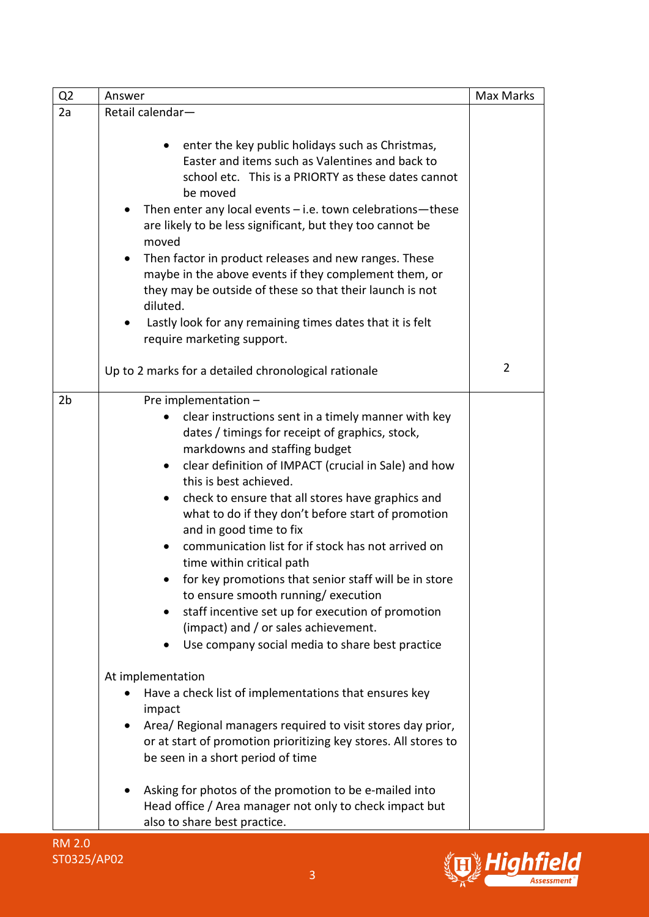| Q <sub>2</sub> | Answer                                                                                                                                                                                                                                                                                                                                                                                                                                                                                                                                                                                                                                                                                                                                                   | Max Marks      |
|----------------|----------------------------------------------------------------------------------------------------------------------------------------------------------------------------------------------------------------------------------------------------------------------------------------------------------------------------------------------------------------------------------------------------------------------------------------------------------------------------------------------------------------------------------------------------------------------------------------------------------------------------------------------------------------------------------------------------------------------------------------------------------|----------------|
| 2a             | Retail calendar-                                                                                                                                                                                                                                                                                                                                                                                                                                                                                                                                                                                                                                                                                                                                         |                |
|                | enter the key public holidays such as Christmas,<br>$\bullet$<br>Easter and items such as Valentines and back to<br>school etc. This is a PRIORTY as these dates cannot<br>be moved<br>Then enter any local events $-$ i.e. town celebrations-these<br>are likely to be less significant, but they too cannot be<br>moved<br>Then factor in product releases and new ranges. These<br>maybe in the above events if they complement them, or<br>they may be outside of these so that their launch is not<br>diluted.<br>Lastly look for any remaining times dates that it is felt<br>require marketing support.                                                                                                                                           |                |
|                | Up to 2 marks for a detailed chronological rationale                                                                                                                                                                                                                                                                                                                                                                                                                                                                                                                                                                                                                                                                                                     | $\overline{2}$ |
| 2 <sub>b</sub> | Pre implementation -<br>clear instructions sent in a timely manner with key<br>dates / timings for receipt of graphics, stock,<br>markdowns and staffing budget<br>clear definition of IMPACT (crucial in Sale) and how<br>$\bullet$<br>this is best achieved.<br>check to ensure that all stores have graphics and<br>$\bullet$<br>what to do if they don't before start of promotion<br>and in good time to fix<br>communication list for if stock has not arrived on<br>time within critical path<br>for key promotions that senior staff will be in store<br>to ensure smooth running/execution<br>staff incentive set up for execution of promotion<br>٠<br>(impact) and / or sales achievement.<br>Use company social media to share best practice |                |
|                | At implementation<br>Have a check list of implementations that ensures key<br>impact<br>Area/ Regional managers required to visit stores day prior,<br>or at start of promotion prioritizing key stores. All stores to<br>be seen in a short period of time<br>Asking for photos of the promotion to be e-mailed into<br>Head office / Area manager not only to check impact but<br>also to share best practice.                                                                                                                                                                                                                                                                                                                                         |                |

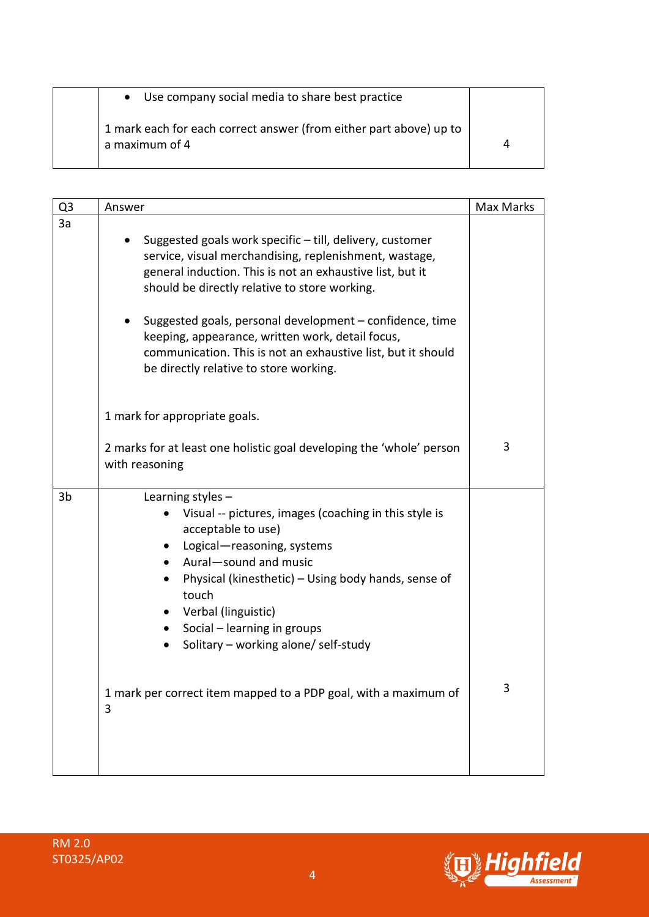| • Use company social media to share best practice                                    |   |
|--------------------------------------------------------------------------------------|---|
| 1 mark each for each correct answer (from either part above) up to<br>a maximum of 4 | 4 |

| Q <sub>3</sub> | Answer                                                                                                                                                                                                                                                                                                                                                                                                                                                     | <b>Max Marks</b> |
|----------------|------------------------------------------------------------------------------------------------------------------------------------------------------------------------------------------------------------------------------------------------------------------------------------------------------------------------------------------------------------------------------------------------------------------------------------------------------------|------------------|
| 3a             | Suggested goals work specific - till, delivery, customer<br>service, visual merchandising, replenishment, wastage,<br>general induction. This is not an exhaustive list, but it<br>should be directly relative to store working.<br>Suggested goals, personal development – confidence, time<br>keeping, appearance, written work, detail focus,<br>communication. This is not an exhaustive list, but it should<br>be directly relative to store working. |                  |
|                | 1 mark for appropriate goals.<br>2 marks for at least one holistic goal developing the 'whole' person<br>with reasoning                                                                                                                                                                                                                                                                                                                                    | 3                |
| 3b             | Learning styles $-$<br>Visual -- pictures, images (coaching in this style is<br>acceptable to use)<br>Logical-reasoning, systems<br>$\bullet$<br>Aural-sound and music<br>$\bullet$<br>Physical (kinesthetic) – Using body hands, sense of<br>touch<br>• Verbal (linguistic)<br>Social – learning in groups<br>$\bullet$<br>Solitary - working alone/ self-study<br>1 mark per correct item mapped to a PDP goal, with a maximum of                        | 3                |
|                | 3                                                                                                                                                                                                                                                                                                                                                                                                                                                          |                  |

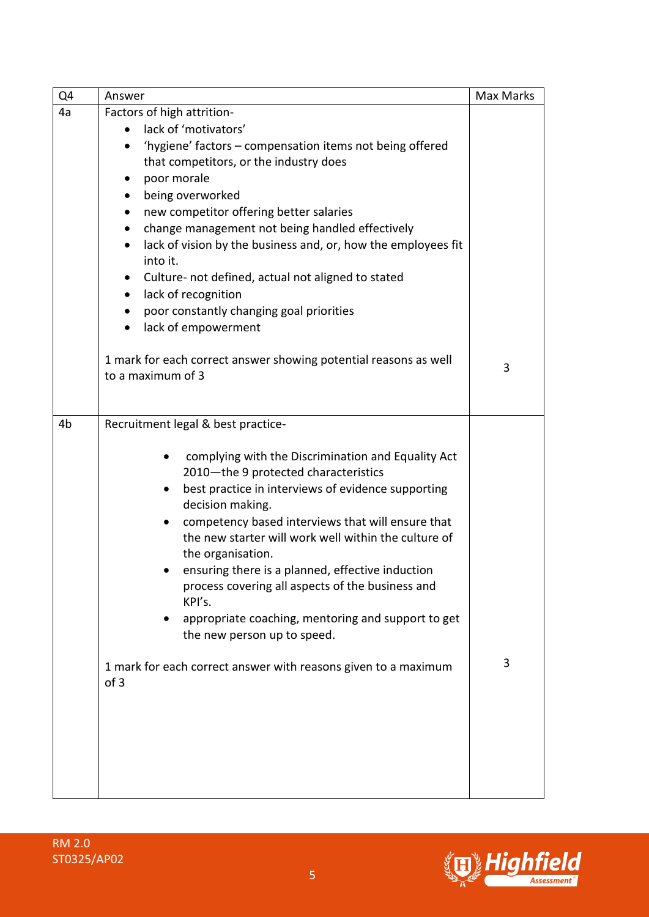| Q4 | Answer                                                                                                                                                                                                                                                                                                                                                                                                                                                                                                                                                                                                                                                                                        | Max Marks |
|----|-----------------------------------------------------------------------------------------------------------------------------------------------------------------------------------------------------------------------------------------------------------------------------------------------------------------------------------------------------------------------------------------------------------------------------------------------------------------------------------------------------------------------------------------------------------------------------------------------------------------------------------------------------------------------------------------------|-----------|
| 4a | Factors of high attrition-<br>lack of 'motivators'<br>$\bullet$<br>'hygiene' factors - compensation items not being offered<br>that competitors, or the industry does<br>poor morale<br>being overworked<br>$\bullet$<br>new competitor offering better salaries<br>$\bullet$<br>change management not being handled effectively<br>$\bullet$<br>lack of vision by the business and, or, how the employees fit<br>into it.<br>Culture- not defined, actual not aligned to stated<br>lack of recognition<br>$\bullet$<br>poor constantly changing goal priorities<br>lack of empowerment<br>$\bullet$<br>1 mark for each correct answer showing potential reasons as well<br>to a maximum of 3 | 3         |
| 4b | Recruitment legal & best practice-<br>complying with the Discrimination and Equality Act<br>$\bullet$<br>2010-the 9 protected characteristics<br>best practice in interviews of evidence supporting<br>decision making.<br>competency based interviews that will ensure that<br>the new starter will work well within the culture of<br>the organisation.<br>ensuring there is a planned, effective induction<br>process covering all aspects of the business and<br>KPI's.<br>appropriate coaching, mentoring and support to get<br>the new person up to speed.<br>1 mark for each correct answer with reasons given to a maximum<br>of 3                                                    | 3         |

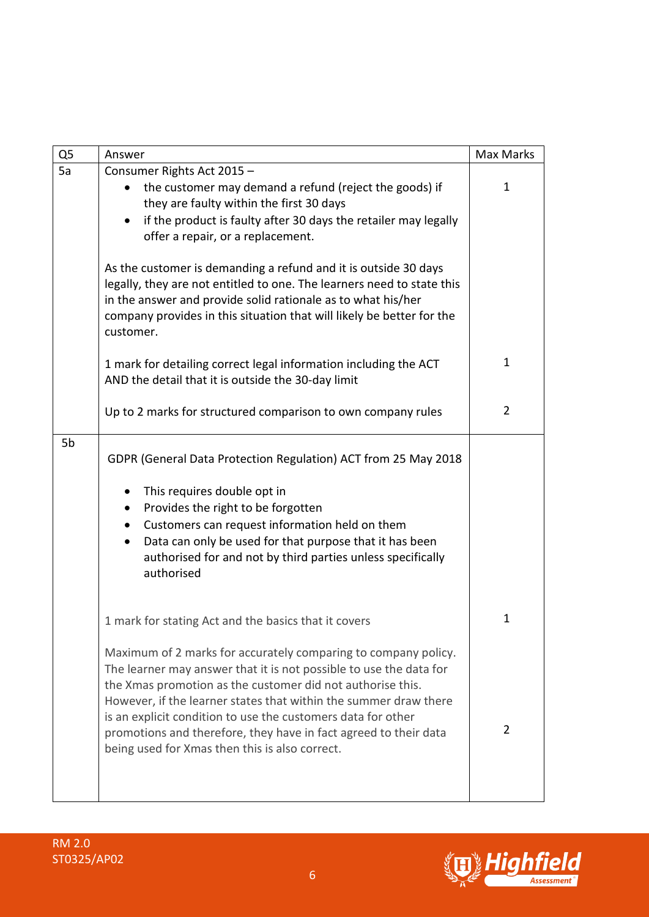| Q <sub>5</sub> | Answer                                                                                                                                                                                                                                                                                                                                                                                                                                                       | Max Marks      |
|----------------|--------------------------------------------------------------------------------------------------------------------------------------------------------------------------------------------------------------------------------------------------------------------------------------------------------------------------------------------------------------------------------------------------------------------------------------------------------------|----------------|
| 5a             | Consumer Rights Act 2015 -<br>the customer may demand a refund (reject the goods) if<br>they are faulty within the first 30 days<br>if the product is faulty after 30 days the retailer may legally<br>offer a repair, or a replacement.                                                                                                                                                                                                                     | $\mathbf 1$    |
|                | As the customer is demanding a refund and it is outside 30 days<br>legally, they are not entitled to one. The learners need to state this<br>in the answer and provide solid rationale as to what his/her<br>company provides in this situation that will likely be better for the<br>customer.                                                                                                                                                              |                |
|                | 1 mark for detailing correct legal information including the ACT<br>AND the detail that it is outside the 30-day limit                                                                                                                                                                                                                                                                                                                                       | $\mathbf{1}$   |
|                | Up to 2 marks for structured comparison to own company rules                                                                                                                                                                                                                                                                                                                                                                                                 | $\overline{2}$ |
| 5b             | GDPR (General Data Protection Regulation) ACT from 25 May 2018<br>This requires double opt in<br>Provides the right to be forgotten<br>$\bullet$<br>Customers can request information held on them<br>$\bullet$<br>Data can only be used for that purpose that it has been                                                                                                                                                                                   |                |
|                | authorised for and not by third parties unless specifically<br>authorised                                                                                                                                                                                                                                                                                                                                                                                    |                |
|                | 1 mark for stating Act and the basics that it covers                                                                                                                                                                                                                                                                                                                                                                                                         | 1              |
|                | Maximum of 2 marks for accurately comparing to company policy.<br>The learner may answer that it is not possible to use the data for<br>the Xmas promotion as the customer did not authorise this.<br>However, if the learner states that within the summer draw there<br>is an explicit condition to use the customers data for other<br>promotions and therefore, they have in fact agreed to their data<br>being used for Xmas then this is also correct. | 2              |
|                |                                                                                                                                                                                                                                                                                                                                                                                                                                                              |                |



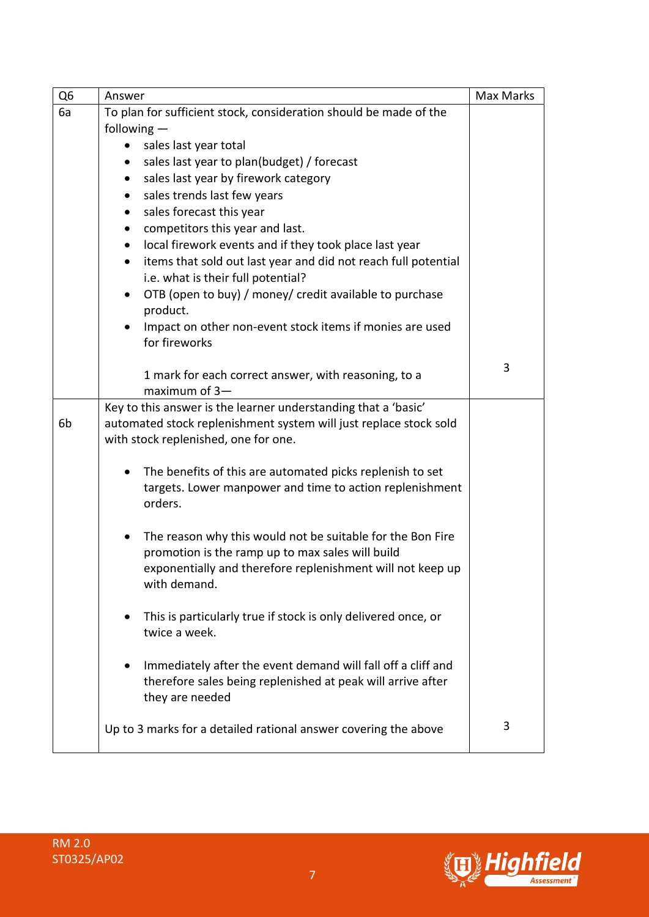| Q <sub>6</sub> | Answer                                                                                                                                                                                       | <b>Max Marks</b> |
|----------------|----------------------------------------------------------------------------------------------------------------------------------------------------------------------------------------------|------------------|
| 6a             | To plan for sufficient stock, consideration should be made of the                                                                                                                            |                  |
|                | following $-$                                                                                                                                                                                |                  |
|                | sales last year total                                                                                                                                                                        |                  |
|                | sales last year to plan(budget) / forecast<br>$\bullet$                                                                                                                                      |                  |
|                | sales last year by firework category<br>$\bullet$                                                                                                                                            |                  |
|                | sales trends last few years<br>$\bullet$                                                                                                                                                     |                  |
|                | sales forecast this year<br>$\bullet$                                                                                                                                                        |                  |
|                | competitors this year and last.<br>$\bullet$                                                                                                                                                 |                  |
|                | local firework events and if they took place last year<br>$\bullet$                                                                                                                          |                  |
|                | items that sold out last year and did not reach full potential<br>$\bullet$<br>i.e. what is their full potential?                                                                            |                  |
|                | OTB (open to buy) / money/ credit available to purchase<br>$\bullet$                                                                                                                         |                  |
|                | product.<br>Impact on other non-event stock items if monies are used<br>for fireworks                                                                                                        |                  |
|                |                                                                                                                                                                                              | 3                |
|                | 1 mark for each correct answer, with reasoning, to a<br>maximum of $3-$                                                                                                                      |                  |
| 6b             | Key to this answer is the learner understanding that a 'basic'<br>automated stock replenishment system will just replace stock sold<br>with stock replenished, one for one.                  |                  |
|                | The benefits of this are automated picks replenish to set<br>$\bullet$<br>targets. Lower manpower and time to action replenishment<br>orders.                                                |                  |
|                | The reason why this would not be suitable for the Bon Fire<br>promotion is the ramp up to max sales will build<br>exponentially and therefore replenishment will not keep up<br>with demand. |                  |
|                | This is particularly true if stock is only delivered once, or<br>twice a week.                                                                                                               |                  |
|                | Immediately after the event demand will fall off a cliff and<br>therefore sales being replenished at peak will arrive after<br>they are needed                                               |                  |
|                | Up to 3 marks for a detailed rational answer covering the above                                                                                                                              | 3                |

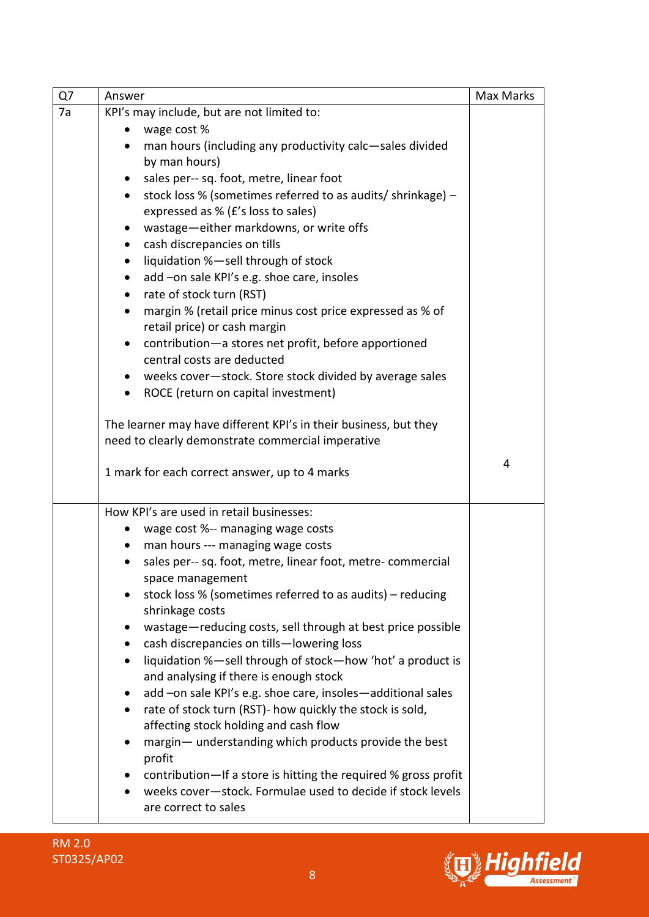| Q7 | Answer                                                                                                      | Max Marks |
|----|-------------------------------------------------------------------------------------------------------------|-----------|
| 7a | KPI's may include, but are not limited to:                                                                  |           |
|    | wage cost %<br>$\bullet$                                                                                    |           |
|    | man hours (including any productivity calc-sales divided<br>$\bullet$                                       |           |
|    | by man hours)                                                                                               |           |
|    | sales per-- sq. foot, metre, linear foot<br>$\bullet$                                                       |           |
|    | stock loss % (sometimes referred to as audits/ shrinkage) -<br>$\bullet$                                    |           |
|    | expressed as % (£'s loss to sales)                                                                          |           |
|    | wastage-either markdowns, or write offs<br>$\bullet$                                                        |           |
|    | cash discrepancies on tills<br>$\bullet$                                                                    |           |
|    | liquidation %-sell through of stock<br>$\bullet$                                                            |           |
|    | add -on sale KPI's e.g. shoe care, insoles<br>$\bullet$                                                     |           |
|    | rate of stock turn (RST)<br>$\bullet$                                                                       |           |
|    | margin % (retail price minus cost price expressed as % of<br>$\bullet$<br>retail price) or cash margin      |           |
|    | contribution-a stores net profit, before apportioned<br>$\bullet$<br>central costs are deducted             |           |
|    | • weeks cover-stock. Store stock divided by average sales                                                   |           |
|    | ROCE (return on capital investment)<br>$\bullet$                                                            |           |
|    |                                                                                                             |           |
|    | The learner may have different KPI's in their business, but they                                            |           |
|    | need to clearly demonstrate commercial imperative                                                           |           |
|    |                                                                                                             | 4         |
|    | 1 mark for each correct answer, up to 4 marks                                                               |           |
|    |                                                                                                             |           |
|    | How KPI's are used in retail businesses:                                                                    |           |
|    | wage cost %-- managing wage costs                                                                           |           |
|    | man hours --- managing wage costs<br>$\bullet$                                                              |           |
|    | sales per-- sq. foot, metre, linear foot, metre- commercial<br>$\bullet$                                    |           |
|    | space management                                                                                            |           |
|    | stock loss % (sometimes referred to as audits) – reducing                                                   |           |
|    | shrinkage costs                                                                                             |           |
|    | wastage-reducing costs, sell through at best price possible<br>$\bullet$                                    |           |
|    | cash discrepancies on tills-lowering loss<br>$\bullet$                                                      |           |
|    | liquidation %-sell through of stock-how 'hot' a product is<br>$\bullet$                                     |           |
|    | and analysing if there is enough stock                                                                      |           |
|    | add -on sale KPI's e.g. shoe care, insoles-additional sales<br>$\bullet$                                    |           |
|    | rate of stock turn (RST)- how quickly the stock is sold,<br>$\bullet$                                       |           |
|    | affecting stock holding and cash flow<br>margin- understanding which products provide the best<br>$\bullet$ |           |
|    | profit                                                                                                      |           |
|    | contribution-If a store is hitting the required % gross profit                                              |           |
|    | weeks cover-stock. Formulae used to decide if stock levels                                                  |           |
|    | are correct to sales                                                                                        |           |



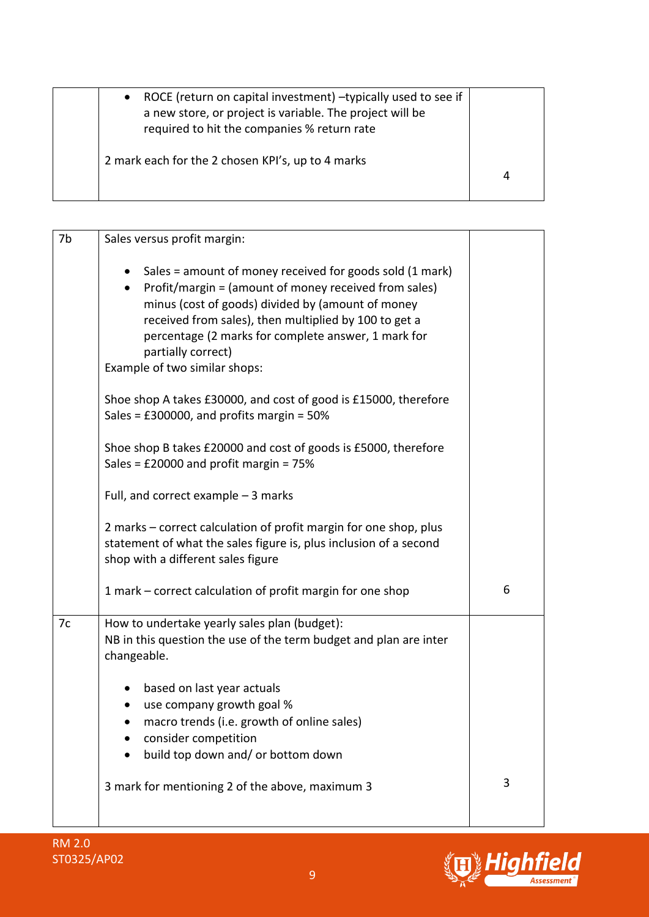| ROCE (return on capital investment) -typically used to see if<br>$\bullet$<br>a new store, or project is variable. The project will be<br>required to hit the companies % return rate |  |
|---------------------------------------------------------------------------------------------------------------------------------------------------------------------------------------|--|
| 2 mark each for the 2 chosen KPI's, up to 4 marks                                                                                                                                     |  |

| 7b<br>Sales versus profit margin:                                                                                                                                                                                                                                                                                                             |   |
|-----------------------------------------------------------------------------------------------------------------------------------------------------------------------------------------------------------------------------------------------------------------------------------------------------------------------------------------------|---|
| Sales = amount of money received for goods sold (1 mark)<br>Profit/margin = (amount of money received from sales)<br>minus (cost of goods) divided by (amount of money<br>received from sales), then multiplied by 100 to get a<br>percentage (2 marks for complete answer, 1 mark for<br>partially correct)<br>Example of two similar shops: |   |
| Shoe shop A takes £30000, and cost of good is £15000, therefore<br>Sales = $£300000$ , and profits margin = $50\%$                                                                                                                                                                                                                            |   |
| Shoe shop B takes £20000 and cost of goods is £5000, therefore<br>Sales = $£20000$ and profit margin = $75%$                                                                                                                                                                                                                                  |   |
| Full, and correct example $-3$ marks                                                                                                                                                                                                                                                                                                          |   |
| 2 marks - correct calculation of profit margin for one shop, plus<br>statement of what the sales figure is, plus inclusion of a second<br>shop with a different sales figure                                                                                                                                                                  |   |
| 1 mark – correct calculation of profit margin for one shop                                                                                                                                                                                                                                                                                    | 6 |
| How to undertake yearly sales plan (budget):<br>7c<br>NB in this question the use of the term budget and plan are inter<br>changeable.                                                                                                                                                                                                        |   |
| based on last year actuals<br>use company growth goal %<br>macro trends (i.e. growth of online sales)<br>consider competition<br>build top down and/ or bottom down                                                                                                                                                                           |   |
| 3 mark for mentioning 2 of the above, maximum 3                                                                                                                                                                                                                                                                                               | 3 |

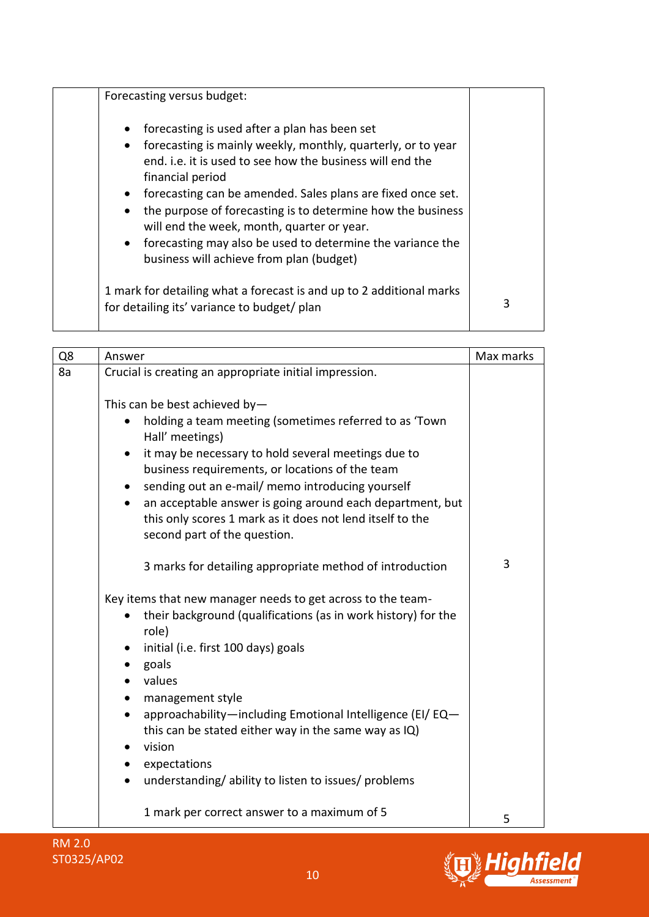| Forecasting versus budget:                                                                                                                                                                                                                                                                                                                                                                                                                                                                                                    |   |
|-------------------------------------------------------------------------------------------------------------------------------------------------------------------------------------------------------------------------------------------------------------------------------------------------------------------------------------------------------------------------------------------------------------------------------------------------------------------------------------------------------------------------------|---|
| forecasting is used after a plan has been set<br>$\bullet$<br>forecasting is mainly weekly, monthly, quarterly, or to year<br>$\bullet$<br>end, i.e. it is used to see how the business will end the<br>financial period<br>forecasting can be amended. Sales plans are fixed once set.<br>$\bullet$<br>the purpose of forecasting is to determine how the business<br>will end the week, month, quarter or year.<br>• forecasting may also be used to determine the variance the<br>business will achieve from plan (budget) |   |
| 1 mark for detailing what a forecast is and up to 2 additional marks<br>for detailing its' variance to budget/ plan                                                                                                                                                                                                                                                                                                                                                                                                           | 3 |

| Q8 | Answer                                                                                                              | Max marks |
|----|---------------------------------------------------------------------------------------------------------------------|-----------|
| 8a | Crucial is creating an appropriate initial impression.                                                              |           |
|    |                                                                                                                     |           |
|    | This can be best achieved by-                                                                                       |           |
|    | holding a team meeting (sometimes referred to as 'Town<br>Hall' meetings)                                           |           |
|    | it may be necessary to hold several meetings due to<br>$\bullet$<br>business requirements, or locations of the team |           |
|    | sending out an e-mail/ memo introducing yourself                                                                    |           |
|    | an acceptable answer is going around each department, but                                                           |           |
|    | this only scores 1 mark as it does not lend itself to the                                                           |           |
|    | second part of the question.                                                                                        |           |
|    |                                                                                                                     |           |
|    | 3 marks for detailing appropriate method of introduction                                                            | 3         |
|    | Key items that new manager needs to get across to the team-                                                         |           |
|    | their background (qualifications (as in work history) for the                                                       |           |
|    | role)                                                                                                               |           |
|    | initial (i.e. first 100 days) goals<br>$\bullet$                                                                    |           |
|    | goals                                                                                                               |           |
|    | values                                                                                                              |           |
|    | management style<br>$\bullet$                                                                                       |           |
|    | approachability-including Emotional Intelligence (EI/ EQ-                                                           |           |
|    | this can be stated either way in the same way as IQ)<br>vision                                                      |           |
|    | expectations                                                                                                        |           |
|    | understanding/ability to listen to issues/problems                                                                  |           |
|    |                                                                                                                     |           |
|    | 1 mark per correct answer to a maximum of 5                                                                         | 5         |



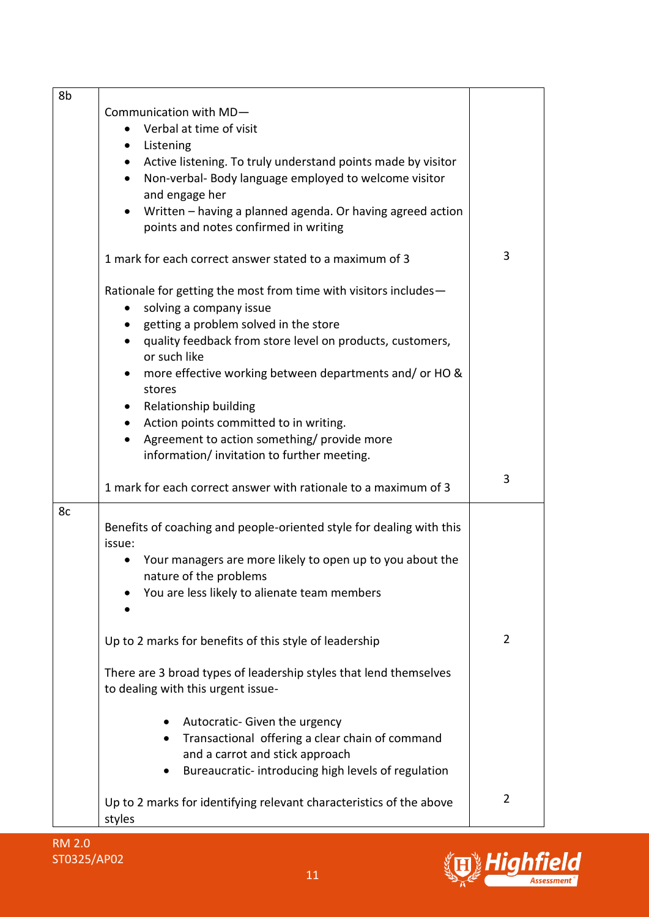| 8b |                                                                           |                |
|----|---------------------------------------------------------------------------|----------------|
|    | Communication with MD-                                                    |                |
|    | Verbal at time of visit<br>$\bullet$                                      |                |
|    | Listening<br>$\bullet$                                                    |                |
|    | Active listening. To truly understand points made by visitor<br>$\bullet$ |                |
|    | Non-verbal- Body language employed to welcome visitor<br>$\bullet$        |                |
|    | and engage her                                                            |                |
|    | Written - having a planned agenda. Or having agreed action<br>$\bullet$   |                |
|    | points and notes confirmed in writing                                     |                |
|    | 1 mark for each correct answer stated to a maximum of 3                   | 3              |
|    | Rationale for getting the most from time with visitors includes-          |                |
|    | solving a company issue                                                   |                |
|    | getting a problem solved in the store<br>$\bullet$                        |                |
|    | quality feedback from store level on products, customers,<br>$\bullet$    |                |
|    | or such like                                                              |                |
|    | more effective working between departments and/ or HO &<br>$\bullet$      |                |
|    | stores                                                                    |                |
|    | Relationship building<br>$\bullet$                                        |                |
|    | Action points committed to in writing.<br>$\bullet$                       |                |
|    | Agreement to action something/ provide more                               |                |
|    | information/invitation to further meeting.                                |                |
|    | 1 mark for each correct answer with rationale to a maximum of 3           | 3              |
| 8c |                                                                           |                |
|    | Benefits of coaching and people-oriented style for dealing with this      |                |
|    | issue:<br>Your managers are more likely to open up to you about the       |                |
|    | $\bullet$<br>nature of the problems                                       |                |
|    | You are less likely to alienate team members                              |                |
|    |                                                                           |                |
|    |                                                                           | $\overline{2}$ |
|    | Up to 2 marks for benefits of this style of leadership                    |                |
|    | There are 3 broad types of leadership styles that lend themselves         |                |
|    | to dealing with this urgent issue-                                        |                |
|    | Autocratic- Given the urgency                                             |                |
|    | Transactional offering a clear chain of command                           |                |
|    | and a carrot and stick approach                                           |                |
|    | Bureaucratic-introducing high levels of regulation                        |                |
|    |                                                                           |                |
|    | Up to 2 marks for identifying relevant characteristics of the above       | $\overline{2}$ |
|    | styles                                                                    |                |